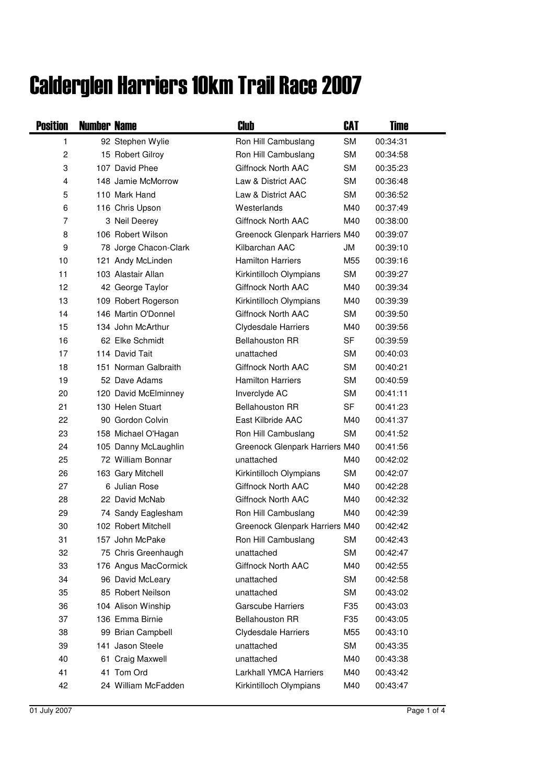## Calderglen Harriers 10km Trail Race 2007

| <b>Position</b> | <b>Number Name</b> |                       | Club                           | CAT       | Time     |
|-----------------|--------------------|-----------------------|--------------------------------|-----------|----------|
| 1               |                    | 92 Stephen Wylie      | Ron Hill Cambuslang            | <b>SM</b> | 00:34:31 |
| $\overline{c}$  |                    | 15 Robert Gilroy      | Ron Hill Cambuslang            | <b>SM</b> | 00:34:58 |
| 3               |                    | 107 David Phee        | <b>Giffnock North AAC</b>      | <b>SM</b> | 00:35:23 |
| 4               |                    | 148 Jamie McMorrow    | Law & District AAC             | <b>SM</b> | 00:36:48 |
| 5               |                    | 110 Mark Hand         | Law & District AAC             | <b>SM</b> | 00:36:52 |
| 6               |                    | 116 Chris Upson       | Westerlands                    | M40       | 00:37:49 |
| 7               |                    | 3 Neil Deerey         | <b>Giffnock North AAC</b>      | M40       | 00:38:00 |
| 8               |                    | 106 Robert Wilson     | Greenock Glenpark Harriers M40 |           | 00:39:07 |
| 9               |                    | 78 Jorge Chacon-Clark | Kilbarchan AAC                 | JM        | 00:39:10 |
| 10              |                    | 121 Andy McLinden     | <b>Hamilton Harriers</b>       | M55       | 00:39:16 |
| 11              |                    | 103 Alastair Allan    | Kirkintilloch Olympians        | <b>SM</b> | 00:39:27 |
| 12              |                    | 42 George Taylor      | Giffnock North AAC             | M40       | 00:39:34 |
| 13              |                    | 109 Robert Rogerson   | Kirkintilloch Olympians        | M40       | 00:39:39 |
| 14              |                    | 146 Martin O'Donnel   | Giffnock North AAC             | <b>SM</b> | 00:39:50 |
| 15              |                    | 134 John McArthur     | Clydesdale Harriers            | M40       | 00:39:56 |
| 16              |                    | 62 Elke Schmidt       | <b>Bellahouston RR</b>         | SF        | 00:39:59 |
| 17              |                    | 114 David Tait        | unattached                     | <b>SM</b> | 00:40:03 |
| 18              |                    | 151 Norman Galbraith  | Giffnock North AAC             | <b>SM</b> | 00:40:21 |
| 19              |                    | 52 Dave Adams         | <b>Hamilton Harriers</b>       | <b>SM</b> | 00:40:59 |
| 20              |                    | 120 David McElminney  | Inverclyde AC                  | <b>SM</b> | 00:41:11 |
| 21              |                    | 130 Helen Stuart      | <b>Bellahouston RR</b>         | SF        | 00:41:23 |
| 22              |                    | 90 Gordon Colvin      | East Kilbride AAC              | M40       | 00:41:37 |
| 23              |                    | 158 Michael O'Hagan   | Ron Hill Cambuslang            | SM        | 00:41:52 |
| 24              |                    | 105 Danny McLaughlin  | Greenock Glenpark Harriers M40 |           | 00:41:56 |
| 25              |                    | 72 William Bonnar     | unattached                     | M40       | 00:42:02 |
| 26              |                    | 163 Gary Mitchell     | Kirkintilloch Olympians        | <b>SM</b> | 00:42:07 |
| 27              |                    | 6 Julian Rose         | Giffnock North AAC             | M40       | 00:42:28 |
| 28              |                    | 22 David McNab        | Giffnock North AAC             | M40       | 00:42:32 |
| 29              |                    | 74 Sandy Eaglesham    | Ron Hill Cambuslang            | M40       | 00:42:39 |
| 30              |                    | 102 Robert Mitchell   | Greenock Glenpark Harriers M40 |           | 00:42:42 |
| 31              |                    | 157 John McPake       | Ron Hill Cambuslang            | <b>SM</b> | 00:42:43 |
| 32              |                    | 75 Chris Greenhaugh   | unattached                     | <b>SM</b> | 00:42:47 |
| 33              |                    | 176 Angus MacCormick  | Giffnock North AAC             | M40       | 00:42:55 |
| 34              |                    | 96 David McLeary      | unattached                     | <b>SM</b> | 00:42:58 |
| 35              |                    | 85 Robert Neilson     | unattached                     | <b>SM</b> | 00:43:02 |
| 36              |                    | 104 Alison Winship    | <b>Garscube Harriers</b>       | F35       | 00:43:03 |
| 37              |                    | 136 Emma Birnie       | <b>Bellahouston RR</b>         | F35       | 00:43:05 |
| 38              |                    | 99 Brian Campbell     | <b>Clydesdale Harriers</b>     | M55       | 00:43:10 |
| 39              |                    | 141 Jason Steele      | unattached                     | SM        | 00:43:35 |
| 40              |                    | 61 Craig Maxwell      | unattached                     | M40       | 00:43:38 |
| 41              |                    | 41 Tom Ord            | <b>Larkhall YMCA Harriers</b>  | M40       | 00:43:42 |
| 42              |                    | 24 William McFadden   | Kirkintilloch Olympians        | M40       | 00:43:47 |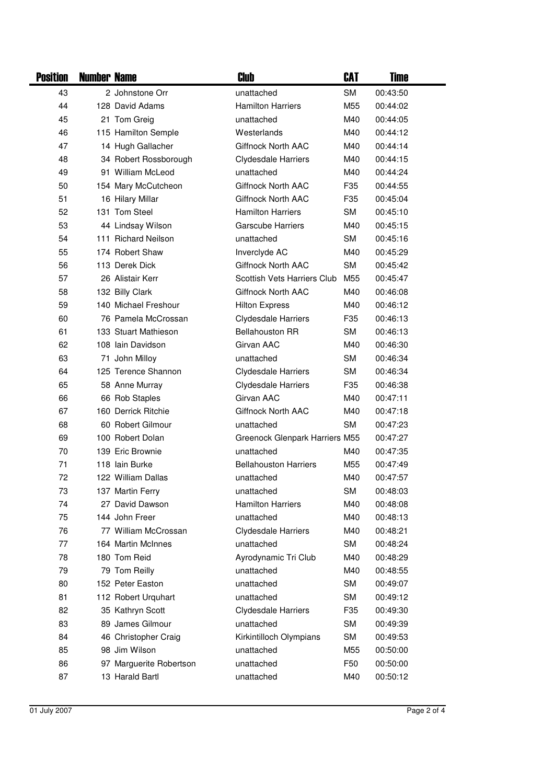| <b>Position</b> | <b>Number Name</b> |                         | Club                               | CAT             | <b>Time</b> |  |
|-----------------|--------------------|-------------------------|------------------------------------|-----------------|-------------|--|
| 43              |                    | 2 Johnstone Orr         | unattached                         | <b>SM</b>       | 00:43:50    |  |
| 44              |                    | 128 David Adams         | <b>Hamilton Harriers</b>           | M55             | 00:44:02    |  |
| 45              |                    | 21 Tom Greig            | unattached                         | M40             | 00:44:05    |  |
| 46              |                    | 115 Hamilton Semple     | Westerlands                        | M40             | 00:44:12    |  |
| 47              |                    | 14 Hugh Gallacher       | Giffnock North AAC                 | M40             | 00:44:14    |  |
| 48              |                    | 34 Robert Rossborough   | <b>Clydesdale Harriers</b>         | M40             | 00:44:15    |  |
| 49              |                    | 91 William McLeod       | unattached                         | M40             | 00:44:24    |  |
| 50              |                    | 154 Mary McCutcheon     | <b>Giffnock North AAC</b>          | F <sub>35</sub> | 00:44:55    |  |
| 51              |                    | 16 Hilary Millar        | Giffnock North AAC                 | F <sub>35</sub> | 00:45:04    |  |
| 52              |                    | 131 Tom Steel           | <b>Hamilton Harriers</b>           | <b>SM</b>       | 00:45:10    |  |
| 53              |                    | 44 Lindsay Wilson       | <b>Garscube Harriers</b>           | M40             | 00:45:15    |  |
| 54              |                    | 111 Richard Neilson     | unattached                         | <b>SM</b>       | 00:45:16    |  |
| 55              |                    | 174 Robert Shaw         | Inverclyde AC                      | M40             | 00:45:29    |  |
| 56              |                    | 113 Derek Dick          | <b>Giffnock North AAC</b>          | <b>SM</b>       | 00:45:42    |  |
| 57              |                    | 26 Alistair Kerr        | <b>Scottish Vets Harriers Club</b> | M55             | 00:45:47    |  |
| 58              |                    | 132 Billy Clark         | Giffnock North AAC                 | M40             | 00:46:08    |  |
| 59              |                    | 140 Michael Freshour    | <b>Hilton Express</b>              | M40             | 00:46:12    |  |
| 60              |                    | 76 Pamela McCrossan     | <b>Clydesdale Harriers</b>         | F <sub>35</sub> | 00:46:13    |  |
| 61              |                    | 133 Stuart Mathieson    | <b>Bellahouston RR</b>             | <b>SM</b>       | 00:46:13    |  |
| 62              |                    | 108 Iain Davidson       | Girvan AAC                         | M40             | 00:46:30    |  |
| 63              |                    | 71 John Milloy          | unattached                         | <b>SM</b>       | 00:46:34    |  |
| 64              |                    | 125 Terence Shannon     | <b>Clydesdale Harriers</b>         | <b>SM</b>       | 00:46:34    |  |
| 65              |                    | 58 Anne Murray          | <b>Clydesdale Harriers</b>         | F <sub>35</sub> | 00:46:38    |  |
| 66              |                    | 66 Rob Staples          | Girvan AAC                         | M40             | 00:47:11    |  |
| 67              |                    | 160 Derrick Ritchie     | Giffnock North AAC                 | M40             | 00:47:18    |  |
| 68              |                    | 60 Robert Gilmour       | unattached                         | <b>SM</b>       | 00:47:23    |  |
| 69              |                    | 100 Robert Dolan        | Greenock Glenpark Harriers M55     |                 | 00:47:27    |  |
| 70              |                    | 139 Eric Brownie        | unattached                         | M40             | 00:47:35    |  |
| 71              |                    | 118 Iain Burke          | <b>Bellahouston Harriers</b>       | M55             | 00:47:49    |  |
| 72              |                    | 122 William Dallas      | unattached                         | M40             | 00:47:57    |  |
| 73              |                    | 137 Martin Ferry        | unattached                         | <b>SM</b>       | 00:48:03    |  |
| 74              |                    | 27 David Dawson         | <b>Hamilton Harriers</b>           | M40             | 00:48:08    |  |
| 75              |                    | 144 John Freer          | unattached                         | M40             | 00:48:13    |  |
| 76              |                    | 77 William McCrossan    | <b>Clydesdale Harriers</b>         | M40             | 00:48:21    |  |
| 77              |                    | 164 Martin McInnes      | unattached                         | <b>SM</b>       | 00:48:24    |  |
| 78              |                    | 180 Tom Reid            | Ayrodynamic Tri Club               | M40             | 00:48:29    |  |
| 79              |                    | 79 Tom Reilly           | unattached                         | M40             | 00:48:55    |  |
| 80              |                    | 152 Peter Easton        | unattached                         | <b>SM</b>       | 00:49:07    |  |
| 81              |                    | 112 Robert Urquhart     | unattached                         | <b>SM</b>       | 00:49:12    |  |
| 82              |                    | 35 Kathryn Scott        | <b>Clydesdale Harriers</b>         | F <sub>35</sub> | 00:49:30    |  |
| 83              |                    | 89 James Gilmour        | unattached                         | SM              | 00:49:39    |  |
| 84              |                    | 46 Christopher Craig    | Kirkintilloch Olympians            | <b>SM</b>       | 00:49:53    |  |
| 85              |                    | 98 Jim Wilson           | unattached                         | M55             | 00:50:00    |  |
| 86              |                    | 97 Marguerite Robertson | unattached                         | F <sub>50</sub> | 00:50:00    |  |
| 87              |                    | 13 Harald Bartl         | unattached                         | M40             | 00:50:12    |  |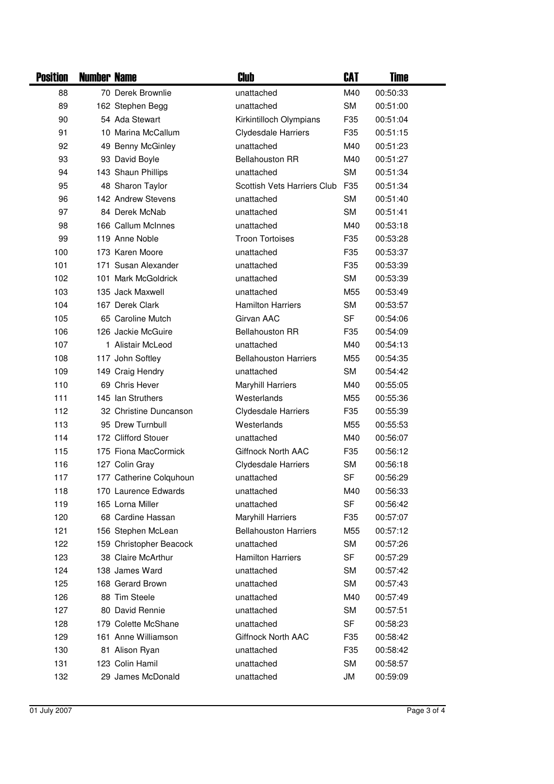| <b>Position</b> | <b>Number Name</b> |                         | Club                         | CAT             | <b>Time</b> |  |
|-----------------|--------------------|-------------------------|------------------------------|-----------------|-------------|--|
| 88              |                    | 70 Derek Brownlie       | unattached                   | M40             | 00:50:33    |  |
| 89              |                    | 162 Stephen Begg        | unattached                   | <b>SM</b>       | 00:51:00    |  |
| 90              |                    | 54 Ada Stewart          | Kirkintilloch Olympians      | F <sub>35</sub> | 00:51:04    |  |
| 91              |                    | 10 Marina McCallum      | <b>Clydesdale Harriers</b>   | F35             | 00:51:15    |  |
| 92              |                    | 49 Benny McGinley       | unattached                   | M40             | 00:51:23    |  |
| 93              |                    | 93 David Boyle          | <b>Bellahouston RR</b>       | M40             | 00:51:27    |  |
| 94              |                    | 143 Shaun Phillips      | unattached                   | <b>SM</b>       | 00:51:34    |  |
| 95              |                    | 48 Sharon Taylor        | Scottish Vets Harriers Club  | F35             | 00:51:34    |  |
| 96              |                    | 142 Andrew Stevens      | unattached                   | <b>SM</b>       | 00:51:40    |  |
| 97              |                    | 84 Derek McNab          | unattached                   | <b>SM</b>       | 00:51:41    |  |
| 98              |                    | 166 Callum McInnes      | unattached                   | M40             | 00:53:18    |  |
| 99              |                    | 119 Anne Noble          | <b>Troon Tortoises</b>       | F35             | 00:53:28    |  |
| 100             |                    | 173 Karen Moore         | unattached                   | F <sub>35</sub> | 00:53:37    |  |
| 101             |                    | 171 Susan Alexander     | unattached                   | F35             | 00:53:39    |  |
| 102             |                    | 101 Mark McGoldrick     | unattached                   | <b>SM</b>       | 00:53:39    |  |
| 103             |                    | 135 Jack Maxwell        | unattached                   | M55             | 00:53:49    |  |
| 104             |                    | 167 Derek Clark         | <b>Hamilton Harriers</b>     | <b>SM</b>       | 00:53:57    |  |
| 105             |                    | 65 Caroline Mutch       | Girvan AAC                   | SF              | 00:54:06    |  |
| 106             |                    | 126 Jackie McGuire      | <b>Bellahouston RR</b>       | F <sub>35</sub> | 00:54:09    |  |
| 107             |                    | 1 Alistair McLeod       | unattached                   | M40             | 00:54:13    |  |
| 108             |                    | 117 John Softley        | <b>Bellahouston Harriers</b> | M55             | 00:54:35    |  |
| 109             |                    | 149 Craig Hendry        | unattached                   | <b>SM</b>       | 00:54:42    |  |
| 110             |                    | 69 Chris Hever          | <b>Maryhill Harriers</b>     | M40             | 00:55:05    |  |
| 111             |                    | 145 Ian Struthers       | Westerlands                  | M55             | 00:55:36    |  |
| 112             |                    | 32 Christine Duncanson  | <b>Clydesdale Harriers</b>   | F35             | 00:55:39    |  |
| 113             |                    | 95 Drew Turnbull        | Westerlands                  | M55             | 00:55:53    |  |
| 114             |                    | 172 Clifford Stouer     | unattached                   | M40             | 00:56:07    |  |
| 115             |                    | 175 Fiona MacCormick    | <b>Giffnock North AAC</b>    | F35             | 00:56:12    |  |
| 116             |                    | 127 Colin Gray          | <b>Clydesdale Harriers</b>   | <b>SM</b>       | 00:56:18    |  |
| 117             |                    | 177 Catherine Colquhoun | unattached                   | <b>SF</b>       | 00:56:29    |  |
| 118             |                    | 170 Laurence Edwards    | unattached                   | M40             | 00:56:33    |  |
| 119             |                    | 165 Lorna Miller        | unattached                   | SF              | 00:56:42    |  |
| 120             |                    | 68 Cardine Hassan       | <b>Maryhill Harriers</b>     | F35             | 00:57:07    |  |
| 121             |                    | 156 Stephen McLean      | <b>Bellahouston Harriers</b> | M55             | 00:57:12    |  |
| 122             |                    | 159 Christopher Beacock | unattached                   | <b>SM</b>       | 00:57:26    |  |
| 123             |                    | 38 Claire McArthur      | <b>Hamilton Harriers</b>     | SF              | 00:57:29    |  |
| 124             |                    | 138 James Ward          | unattached                   | <b>SM</b>       | 00:57:42    |  |
| 125             |                    | 168 Gerard Brown        | unattached                   | <b>SM</b>       | 00:57:43    |  |
| 126             |                    | 88 Tim Steele           | unattached                   | M40             | 00:57:49    |  |
| 127             |                    | 80 David Rennie         | unattached                   | <b>SM</b>       | 00:57:51    |  |
| 128             |                    | 179 Colette McShane     | unattached                   | SF              | 00:58:23    |  |
| 129             |                    | 161 Anne Williamson     | Giffnock North AAC           | F <sub>35</sub> | 00:58:42    |  |
| 130             |                    | 81 Alison Ryan          | unattached                   | F35             | 00:58:42    |  |
| 131             |                    | 123 Colin Hamil         | unattached                   | <b>SM</b>       | 00:58:57    |  |
| 132             |                    | 29 James McDonald       | unattached                   | JM              | 00:59:09    |  |